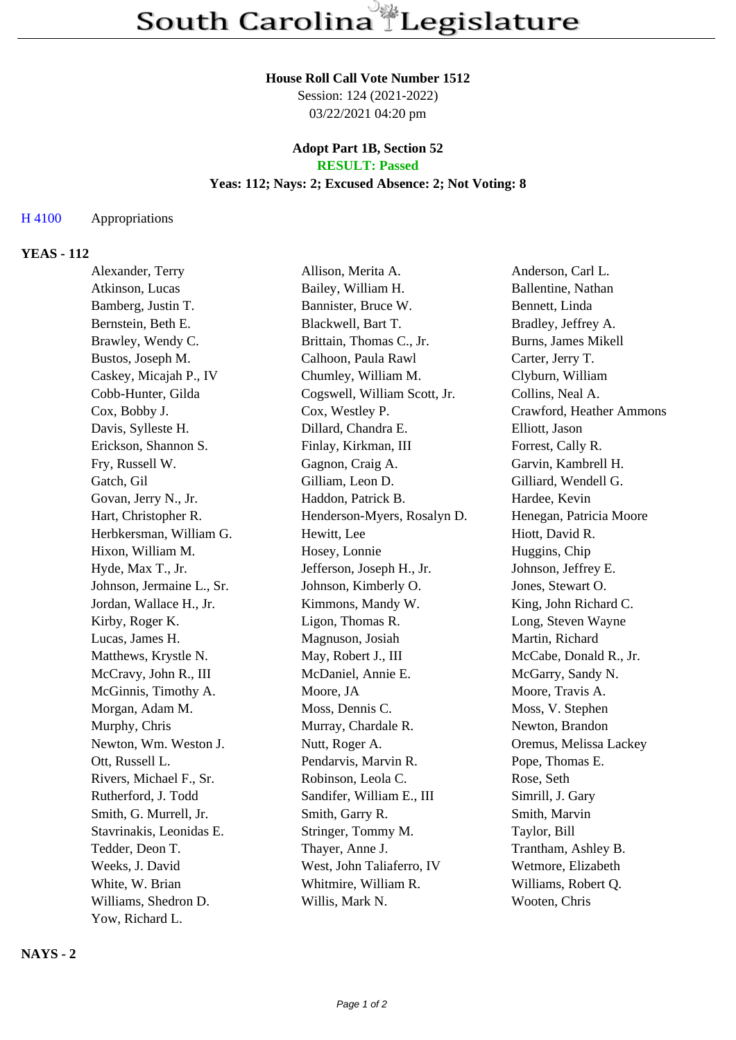## **House Roll Call Vote Number 1512**

Session: 124 (2021-2022) 03/22/2021 04:20 pm

#### **Adopt Part 1B, Section 52 RESULT: Passed**

# **Yeas: 112; Nays: 2; Excused Absence: 2; Not Voting: 8**

#### H 4100 Appropriations

# **YEAS - 112**

| Alexander, Terry          | Allison, Merita A.           | Anderson, Carl L.        |
|---------------------------|------------------------------|--------------------------|
| Atkinson, Lucas           | Bailey, William H.           | Ballentine, Nathan       |
| Bamberg, Justin T.        | Bannister, Bruce W.          | Bennett, Linda           |
| Bernstein, Beth E.        | Blackwell, Bart T.           | Bradley, Jeffrey A.      |
| Brawley, Wendy C.         | Brittain, Thomas C., Jr.     | Burns, James Mikell      |
| Bustos, Joseph M.         | Calhoon, Paula Rawl          | Carter, Jerry T.         |
| Caskey, Micajah P., IV    | Chumley, William M.          | Clyburn, William         |
| Cobb-Hunter, Gilda        | Cogswell, William Scott, Jr. | Collins, Neal A.         |
| Cox, Bobby J.             | Cox, Westley P.              | Crawford, Heather Ammons |
| Davis, Sylleste H.        | Dillard, Chandra E.          | Elliott, Jason           |
| Erickson, Shannon S.      | Finlay, Kirkman, III         | Forrest, Cally R.        |
| Fry, Russell W.           | Gagnon, Craig A.             | Garvin, Kambrell H.      |
| Gatch, Gil                | Gilliam, Leon D.             | Gilliard, Wendell G.     |
| Govan, Jerry N., Jr.      | Haddon, Patrick B.           | Hardee, Kevin            |
| Hart, Christopher R.      | Henderson-Myers, Rosalyn D.  | Henegan, Patricia Moore  |
| Herbkersman, William G.   | Hewitt, Lee                  | Hiott, David R.          |
| Hixon, William M.         | Hosey, Lonnie                | Huggins, Chip            |
| Hyde, Max T., Jr.         | Jefferson, Joseph H., Jr.    | Johnson, Jeffrey E.      |
| Johnson, Jermaine L., Sr. | Johnson, Kimberly O.         | Jones, Stewart O.        |
| Jordan, Wallace H., Jr.   | Kimmons, Mandy W.            | King, John Richard C.    |
| Kirby, Roger K.           | Ligon, Thomas R.             | Long, Steven Wayne       |
| Lucas, James H.           | Magnuson, Josiah             | Martin, Richard          |
| Matthews, Krystle N.      | May, Robert J., III          | McCabe, Donald R., Jr.   |
| McCravy, John R., III     | McDaniel, Annie E.           | McGarry, Sandy N.        |
| McGinnis, Timothy A.      | Moore, JA                    | Moore, Travis A.         |
| Morgan, Adam M.           | Moss, Dennis C.              | Moss, V. Stephen         |
| Murphy, Chris             | Murray, Chardale R.          | Newton, Brandon          |
| Newton, Wm. Weston J.     | Nutt, Roger A.               | Oremus, Melissa Lackey   |
| Ott, Russell L.           | Pendarvis, Marvin R.         | Pope, Thomas E.          |
| Rivers, Michael F., Sr.   | Robinson, Leola C.           | Rose, Seth               |
| Rutherford, J. Todd       | Sandifer, William E., III    | Simrill, J. Gary         |
| Smith, G. Murrell, Jr.    | Smith, Garry R.              | Smith, Marvin            |
| Stavrinakis, Leonidas E.  | Stringer, Tommy M.           | Taylor, Bill             |
| Tedder, Deon T.           | Thayer, Anne J.              | Trantham, Ashley B.      |
| Weeks, J. David           | West, John Taliaferro, IV    | Wetmore, Elizabeth       |
| White, W. Brian           | Whitmire, William R.         | Williams, Robert Q.      |
| Williams, Shedron D.      | Willis, Mark N.              | Wooten, Chris            |
| Yow, Richard L.           |                              |                          |